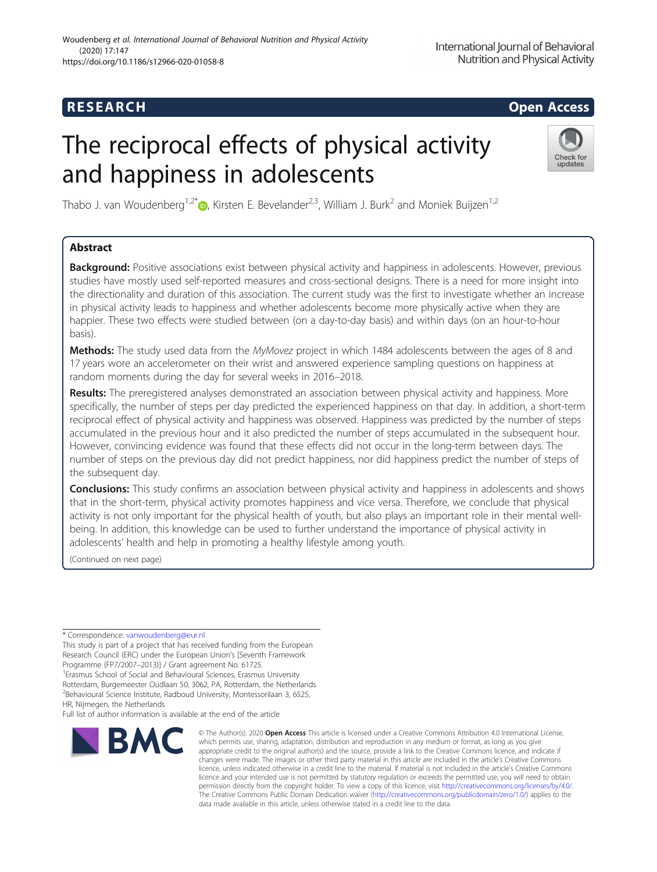## **RESEARCH CHILD CONTROL** CONTROL CONTROL CONTROL CONTROL CONTROL CONTROL CONTROL CONTROL CONTROL CONTROL CONTROL CONTROL CONTROL CONTROL CONTROL CONTROL CONTROL CONTROL CONTROL CONTROL CONTROL CONTROL CONTROL CONTROL CONTR

# The reciprocal effects of physical activity and happiness in adolescents



Thabo J. van Woudenberg<sup>1,2[\\*](http://orcid.org/0000-0002-8586-5876)</sup>  $\bullet$ , Kirsten E. Bevelander<sup>2,3</sup>, William J. Burk<sup>2</sup> and Moniek Buijzen<sup>1,2</sup>

### Abstract

**Background:** Positive associations exist between physical activity and happiness in adolescents. However, previous studies have mostly used self-reported measures and cross-sectional designs. There is a need for more insight into the directionality and duration of this association. The current study was the first to investigate whether an increase in physical activity leads to happiness and whether adolescents become more physically active when they are happier. These two effects were studied between (on a day-to-day basis) and within days (on an hour-to-hour basis).

Methods: The study used data from the MyMovez project in which 1484 adolescents between the ages of 8 and 17 years wore an accelerometer on their wrist and answered experience sampling questions on happiness at random moments during the day for several weeks in 2016–2018.

Results: The preregistered analyses demonstrated an association between physical activity and happiness. More specifically, the number of steps per day predicted the experienced happiness on that day. In addition, a short-term reciprocal effect of physical activity and happiness was observed. Happiness was predicted by the number of steps accumulated in the previous hour and it also predicted the number of steps accumulated in the subsequent hour. However, convincing evidence was found that these effects did not occur in the long-term between days. The number of steps on the previous day did not predict happiness, nor did happiness predict the number of steps of the subsequent day.

**Conclusions:** This study confirms an association between physical activity and happiness in adolescents and shows that in the short-term, physical activity promotes happiness and vice versa. Therefore, we conclude that physical activity is not only important for the physical health of youth, but also plays an important role in their mental wellbeing. In addition, this knowledge can be used to further understand the importance of physical activity in adolescents' health and help in promoting a healthy lifestyle among youth.

(Continued on next page)

\* Correspondence: [vanwoudenberg@eur.nl](mailto:vanwoudenberg@eur.nl)

This study is part of a project that has received funding from the European Research Council (ERC) under the European Union's [Seventh Framework Programme (FP7/2007–2013)] / Grant agreement No. 61725. <sup>1</sup> <sup>1</sup> Erasmus School of Social and Behavioural Sciences, Erasmus University

Rotterdam, Burgemeester Oudlaan 50, 3062, PA, Rotterdam, the Netherlands 2 Behavioural Science Institute, Radboud University, Montessorilaan 3, 6525,

HR, Nijmegen, the Netherlands

Full list of author information is available at the end of the article



<sup>©</sup> The Author(s), 2020 **Open Access** This article is licensed under a Creative Commons Attribution 4.0 International License, which permits use, sharing, adaptation, distribution and reproduction in any medium or format, as long as you give appropriate credit to the original author(s) and the source, provide a link to the Creative Commons licence, and indicate if changes were made. The images or other third party material in this article are included in the article's Creative Commons licence, unless indicated otherwise in a credit line to the material. If material is not included in the article's Creative Commons licence and your intended use is not permitted by statutory regulation or exceeds the permitted use, you will need to obtain permission directly from the copyright holder. To view a copy of this licence, visit [http://creativecommons.org/licenses/by/4.0/.](http://creativecommons.org/licenses/by/4.0/) The Creative Commons Public Domain Dedication waiver [\(http://creativecommons.org/publicdomain/zero/1.0/](http://creativecommons.org/publicdomain/zero/1.0/)) applies to the data made available in this article, unless otherwise stated in a credit line to the data.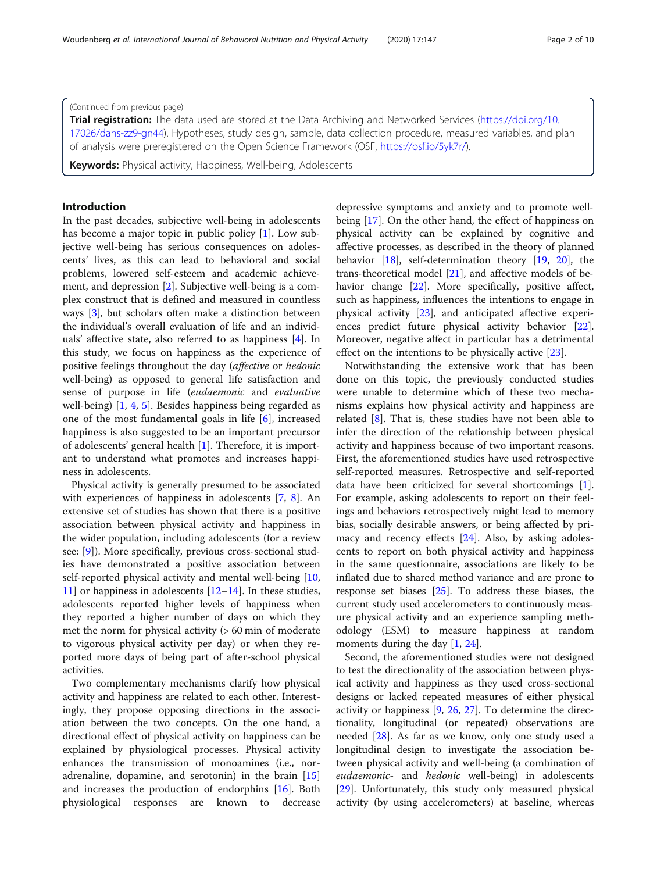#### (Continued from previous page)

Trial registration: The data used are stored at the Data Archiving and Networked Services ([https://doi.org/10.](https://doi.org/10.17026/dans-zz9-gn44) [17026/dans-zz9-gn44](https://doi.org/10.17026/dans-zz9-gn44)). Hypotheses, study design, sample, data collection procedure, measured variables, and plan of analysis were preregistered on the Open Science Framework (OSF, [https://osf.io/5yk7r/](https://osf.io/5yk7r)).

Keywords: Physical activity, Happiness, Well-being, Adolescents

#### Introduction

In the past decades, subjective well-being in adolescents has become a major topic in public policy [\[1](#page-9-0)]. Low subjective well-being has serious consequences on adolescents' lives, as this can lead to behavioral and social problems, lowered self-esteem and academic achievement, and depression [\[2](#page-9-0)]. Subjective well-being is a complex construct that is defined and measured in countless ways [\[3\]](#page-9-0), but scholars often make a distinction between the individual's overall evaluation of life and an individuals' affective state, also referred to as happiness [[4\]](#page-9-0). In this study, we focus on happiness as the experience of positive feelings throughout the day (affective or hedonic well-being) as opposed to general life satisfaction and sense of purpose in life (eudaemonic and evaluative well-being) [\[1](#page-9-0), [4](#page-9-0), [5\]](#page-9-0). Besides happiness being regarded as one of the most fundamental goals in life [\[6](#page-9-0)], increased happiness is also suggested to be an important precursor of adolescents' general health [[1\]](#page-9-0). Therefore, it is important to understand what promotes and increases happiness in adolescents.

Physical activity is generally presumed to be associated with experiences of happiness in adolescents [[7,](#page-9-0) [8\]](#page-9-0). An extensive set of studies has shown that there is a positive association between physical activity and happiness in the wider population, including adolescents (for a review see: [[9\]](#page-9-0)). More specifically, previous cross-sectional studies have demonstrated a positive association between self-reported physical activity and mental well-being [[10](#page-9-0), [11\]](#page-9-0) or happiness in adolescents  $[12-14]$  $[12-14]$  $[12-14]$  $[12-14]$  $[12-14]$ . In these studies, adolescents reported higher levels of happiness when they reported a higher number of days on which they met the norm for physical activity (> 60 min of moderate to vigorous physical activity per day) or when they reported more days of being part of after-school physical activities.

Two complementary mechanisms clarify how physical activity and happiness are related to each other. Interestingly, they propose opposing directions in the association between the two concepts. On the one hand, a directional effect of physical activity on happiness can be explained by physiological processes. Physical activity enhances the transmission of monoamines (i.e., noradrenaline, dopamine, and serotonin) in the brain [[15](#page-9-0)] and increases the production of endorphins [\[16](#page-9-0)]. Both physiological responses are known to decrease

depressive symptoms and anxiety and to promote wellbeing [\[17\]](#page-9-0). On the other hand, the effect of happiness on physical activity can be explained by cognitive and affective processes, as described in the theory of planned behavior [\[18\]](#page-9-0), self-determination theory [\[19](#page-9-0), [20](#page-9-0)], the trans-theoretical model [\[21](#page-9-0)], and affective models of be-havior change [[22](#page-9-0)]. More specifically, positive affect, such as happiness, influences the intentions to engage in physical activity [\[23](#page-9-0)], and anticipated affective experiences predict future physical activity behavior [\[22](#page-9-0)]. Moreover, negative affect in particular has a detrimental effect on the intentions to be physically active [[23\]](#page-9-0).

Notwithstanding the extensive work that has been done on this topic, the previously conducted studies were unable to determine which of these two mechanisms explains how physical activity and happiness are related [[8\]](#page-9-0). That is, these studies have not been able to infer the direction of the relationship between physical activity and happiness because of two important reasons. First, the aforementioned studies have used retrospective self-reported measures. Retrospective and self-reported data have been criticized for several shortcomings [\[1](#page-9-0)]. For example, asking adolescents to report on their feelings and behaviors retrospectively might lead to memory bias, socially desirable answers, or being affected by primacy and recency effects [[24\]](#page-9-0). Also, by asking adolescents to report on both physical activity and happiness in the same questionnaire, associations are likely to be inflated due to shared method variance and are prone to response set biases [[25\]](#page-9-0). To address these biases, the current study used accelerometers to continuously measure physical activity and an experience sampling methodology (ESM) to measure happiness at random moments during the day [[1,](#page-9-0) [24](#page-9-0)].

Second, the aforementioned studies were not designed to test the directionality of the association between physical activity and happiness as they used cross-sectional designs or lacked repeated measures of either physical activity or happiness [\[9](#page-9-0), [26,](#page-9-0) [27\]](#page-9-0). To determine the directionality, longitudinal (or repeated) observations are needed [[28\]](#page-9-0). As far as we know, only one study used a longitudinal design to investigate the association between physical activity and well-being (a combination of eudaemonic- and hedonic well-being) in adolescents [[29\]](#page-9-0). Unfortunately, this study only measured physical activity (by using accelerometers) at baseline, whereas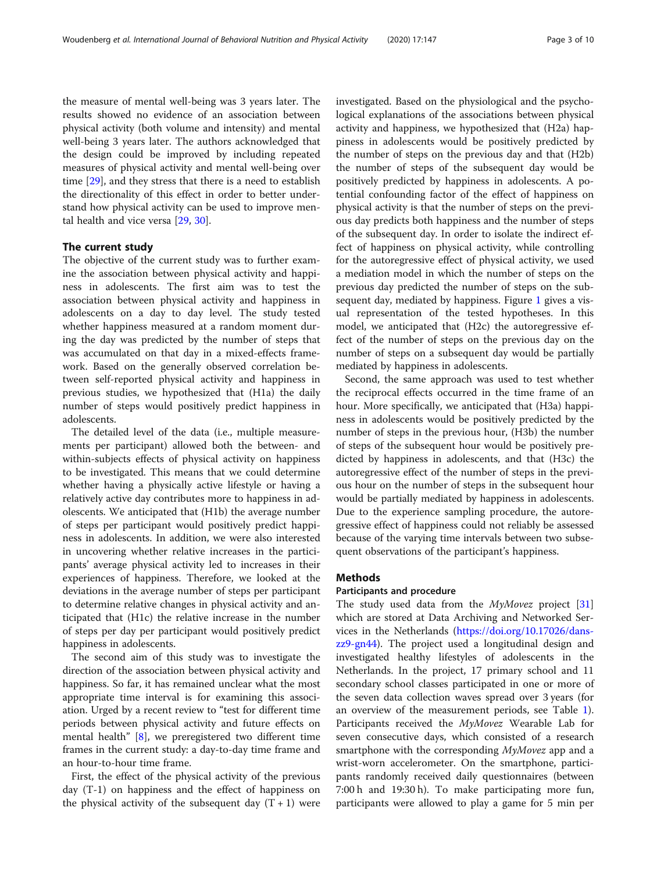the measure of mental well-being was 3 years later. The results showed no evidence of an association between physical activity (both volume and intensity) and mental well-being 3 years later. The authors acknowledged that the design could be improved by including repeated measures of physical activity and mental well-being over time [\[29\]](#page-9-0), and they stress that there is a need to establish the directionality of this effect in order to better understand how physical activity can be used to improve mental health and vice versa [\[29](#page-9-0), [30](#page-9-0)].

#### The current study

The objective of the current study was to further examine the association between physical activity and happiness in adolescents. The first aim was to test the association between physical activity and happiness in adolescents on a day to day level. The study tested whether happiness measured at a random moment during the day was predicted by the number of steps that was accumulated on that day in a mixed-effects framework. Based on the generally observed correlation between self-reported physical activity and happiness in previous studies, we hypothesized that (H1a) the daily number of steps would positively predict happiness in adolescents.

The detailed level of the data (i.e., multiple measurements per participant) allowed both the between- and within-subjects effects of physical activity on happiness to be investigated. This means that we could determine whether having a physically active lifestyle or having a relatively active day contributes more to happiness in adolescents. We anticipated that (H1b) the average number of steps per participant would positively predict happiness in adolescents. In addition, we were also interested in uncovering whether relative increases in the participants' average physical activity led to increases in their experiences of happiness. Therefore, we looked at the deviations in the average number of steps per participant to determine relative changes in physical activity and anticipated that (H1c) the relative increase in the number of steps per day per participant would positively predict happiness in adolescents.

The second aim of this study was to investigate the direction of the association between physical activity and happiness. So far, it has remained unclear what the most appropriate time interval is for examining this association. Urged by a recent review to "test for different time periods between physical activity and future effects on mental health" [[8\]](#page-9-0), we preregistered two different time frames in the current study: a day-to-day time frame and an hour-to-hour time frame.

First, the effect of the physical activity of the previous day (T-1) on happiness and the effect of happiness on the physical activity of the subsequent day  $(T + 1)$  were investigated. Based on the physiological and the psychological explanations of the associations between physical activity and happiness, we hypothesized that (H2a) happiness in adolescents would be positively predicted by the number of steps on the previous day and that (H2b) the number of steps of the subsequent day would be positively predicted by happiness in adolescents. A potential confounding factor of the effect of happiness on physical activity is that the number of steps on the previous day predicts both happiness and the number of steps of the subsequent day. In order to isolate the indirect effect of happiness on physical activity, while controlling for the autoregressive effect of physical activity, we used a mediation model in which the number of steps on the previous day predicted the number of steps on the subsequent day, mediated by happiness. Figure [1](#page-3-0) gives a visual representation of the tested hypotheses. In this model, we anticipated that (H2c) the autoregressive effect of the number of steps on the previous day on the number of steps on a subsequent day would be partially mediated by happiness in adolescents.

Second, the same approach was used to test whether the reciprocal effects occurred in the time frame of an hour. More specifically, we anticipated that (H3a) happiness in adolescents would be positively predicted by the number of steps in the previous hour, (H3b) the number of steps of the subsequent hour would be positively predicted by happiness in adolescents, and that (H3c) the autoregressive effect of the number of steps in the previous hour on the number of steps in the subsequent hour would be partially mediated by happiness in adolescents. Due to the experience sampling procedure, the autoregressive effect of happiness could not reliably be assessed because of the varying time intervals between two subsequent observations of the participant's happiness.

#### Methods

#### Participants and procedure

The study used data from the  $MyMovez$  project [[31](#page-9-0)] which are stored at Data Archiving and Networked Services in the Netherlands [\(https://doi.org/10.17026/dans](https://doi.org/10.17026/dans-zz9-gn44)[zz9-gn44\)](https://doi.org/10.17026/dans-zz9-gn44). The project used a longitudinal design and investigated healthy lifestyles of adolescents in the Netherlands. In the project, 17 primary school and 11 secondary school classes participated in one or more of the seven data collection waves spread over 3 years (for an overview of the measurement periods, see Table [1](#page-3-0)). Participants received the MyMovez Wearable Lab for seven consecutive days, which consisted of a research smartphone with the corresponding MyMovez app and a wrist-worn accelerometer. On the smartphone, participants randomly received daily questionnaires (between 7:00 h and 19:30 h). To make participating more fun, participants were allowed to play a game for 5 min per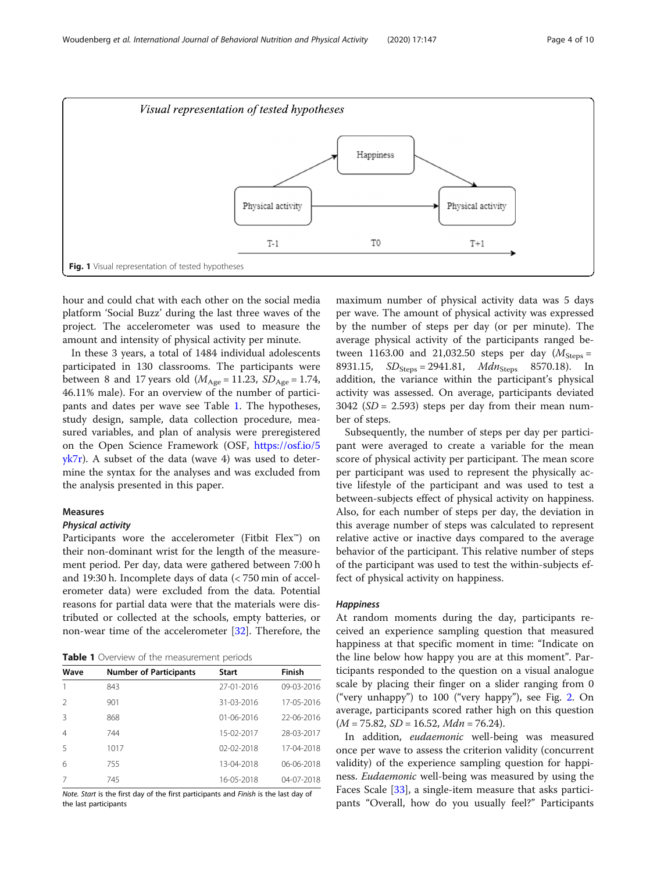<span id="page-3-0"></span>

hour and could chat with each other on the social media platform 'Social Buzz' during the last three waves of the project. The accelerometer was used to measure the amount and intensity of physical activity per minute.

In these 3 years, a total of 1484 individual adolescents participated in 130 classrooms. The participants were between 8 and 17 years old ( $M_{A\sigma e} = 11.23$ ,  $SD_{A\sigma e} = 1.74$ , 46.11% male). For an overview of the number of participants and dates per wave see Table 1. The hypotheses, study design, sample, data collection procedure, measured variables, and plan of analysis were preregistered on the Open Science Framework (OSF, [https://osf.io/5](https://osf.io/5yk7r)  $v\text{k}7r$ ). A subset of the data (wave 4) was used to determine the syntax for the analyses and was excluded from the analysis presented in this paper.

#### Measures

#### Physical activity

Participants wore the accelerometer (Fitbit Flex™) on their non-dominant wrist for the length of the measurement period. Per day, data were gathered between 7:00 h and 19:30 h. Incomplete days of data (< 750 min of accelerometer data) were excluded from the data. Potential reasons for partial data were that the materials were distributed or collected at the schools, empty batteries, or non-wear time of the accelerometer [[32\]](#page-9-0). Therefore, the

Table 1 Overview of the measurement periods

| Wave           | <b>Number of Participants</b> | <b>Start</b>     | Finish     |
|----------------|-------------------------------|------------------|------------|
|                | 843                           | 27-01-2016       | 09-03-2016 |
| $\mathcal{P}$  | 901                           | 31-03-2016       | 17-05-2016 |
| Β              | 868                           | $01 - 06 - 2016$ | 22-06-2016 |
| $\overline{4}$ | 744                           | 15-02-2017       | 28-03-2017 |
| 5              | 1017                          | $02 - 02 - 2018$ | 17-04-2018 |
| 6              | 755                           | 13-04-2018       | 06-06-2018 |
|                | 745                           | 16-05-2018       | 04-07-2018 |

Note. Start is the first day of the first participants and Finish is the last day of the last participants

maximum number of physical activity data was 5 days per wave. The amount of physical activity was expressed by the number of steps per day (or per minute). The average physical activity of the participants ranged between 1163.00 and 21,032.50 steps per day  $(M<sub>Stens</sub> =$ 8931.15,  $SD_{Steps} = 2941.81$ ,  $Mdn_{Steps}$  8570.18). In addition, the variance within the participant's physical activity was assessed. On average, participants deviated  $3042$  (SD = 2.593) steps per day from their mean number of steps.

Subsequently, the number of steps per day per participant were averaged to create a variable for the mean score of physical activity per participant. The mean score per participant was used to represent the physically active lifestyle of the participant and was used to test a between-subjects effect of physical activity on happiness. Also, for each number of steps per day, the deviation in this average number of steps was calculated to represent relative active or inactive days compared to the average behavior of the participant. This relative number of steps of the participant was used to test the within-subjects effect of physical activity on happiness.

#### **Happiness**

At random moments during the day, participants received an experience sampling question that measured happiness at that specific moment in time: "Indicate on the line below how happy you are at this moment". Participants responded to the question on a visual analogue scale by placing their finger on a slider ranging from 0 ("very unhappy") to 100 ("very happy"), see Fig. [2.](#page-4-0) On average, participants scored rather high on this question  $(M = 75.82, SD = 16.52, Mdn = 76.24).$ 

In addition, *eudaemonic* well-being was measured once per wave to assess the criterion validity (concurrent validity) of the experience sampling question for happiness. Eudaemonic well-being was measured by using the Faces Scale [\[33](#page-9-0)], a single-item measure that asks participants "Overall, how do you usually feel?" Participants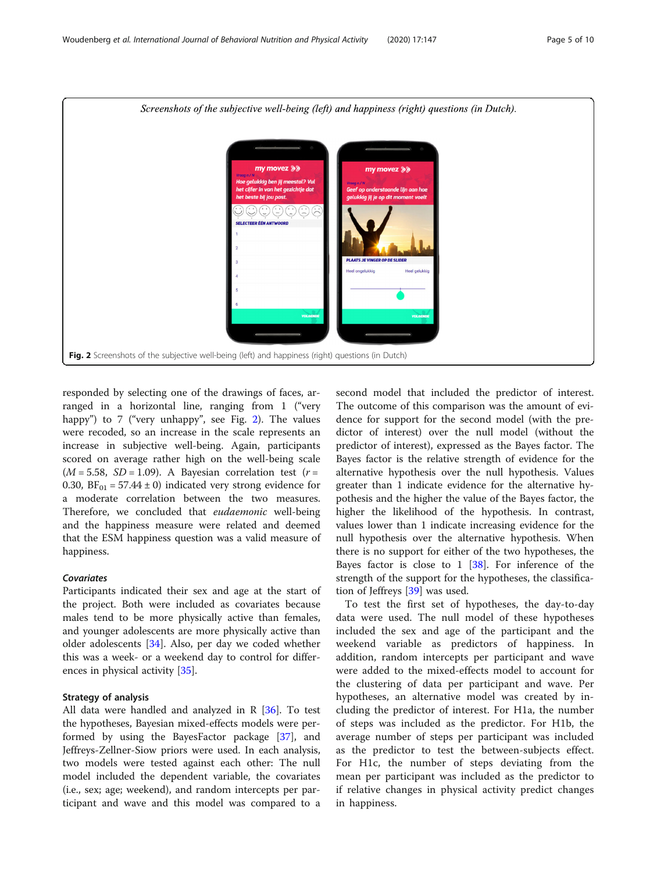<span id="page-4-0"></span>

responded by selecting one of the drawings of faces, arranged in a horizontal line, ranging from 1 ("very happy") to 7 ("very unhappy", see Fig. 2). The values were recoded, so an increase in the scale represents an increase in subjective well-being. Again, participants scored on average rather high on the well-being scale  $(M = 5.58, SD = 1.09)$ . A Bayesian correlation test ( $r =$ 0.30,  $BF_{01} = 57.44 \pm 0$ ) indicated very strong evidence for a moderate correlation between the two measures. Therefore, we concluded that eudaemonic well-being and the happiness measure were related and deemed that the ESM happiness question was a valid measure of happiness.

#### **Covariates**

Participants indicated their sex and age at the start of the project. Both were included as covariates because males tend to be more physically active than females, and younger adolescents are more physically active than older adolescents [\[34](#page-9-0)]. Also, per day we coded whether this was a week- or a weekend day to control for differences in physical activity [[35\]](#page-9-0).

#### Strategy of analysis

All data were handled and analyzed in  $R$  [\[36](#page-9-0)]. To test the hypotheses, Bayesian mixed-effects models were performed by using the BayesFactor package [[37\]](#page-9-0), and Jeffreys-Zellner-Siow priors were used. In each analysis, two models were tested against each other: The null model included the dependent variable, the covariates (i.e., sex; age; weekend), and random intercepts per participant and wave and this model was compared to a second model that included the predictor of interest. The outcome of this comparison was the amount of evidence for support for the second model (with the predictor of interest) over the null model (without the predictor of interest), expressed as the Bayes factor. The Bayes factor is the relative strength of evidence for the alternative hypothesis over the null hypothesis. Values greater than 1 indicate evidence for the alternative hypothesis and the higher the value of the Bayes factor, the higher the likelihood of the hypothesis. In contrast, values lower than 1 indicate increasing evidence for the null hypothesis over the alternative hypothesis. When there is no support for either of the two hypotheses, the Bayes factor is close to  $1$  [ $38$ ]. For inference of the strength of the support for the hypotheses, the classification of Jeffreys [\[39](#page-9-0)] was used.

To test the first set of hypotheses, the day-to-day data were used. The null model of these hypotheses included the sex and age of the participant and the weekend variable as predictors of happiness. In addition, random intercepts per participant and wave were added to the mixed-effects model to account for the clustering of data per participant and wave. Per hypotheses, an alternative model was created by including the predictor of interest. For H1a, the number of steps was included as the predictor. For H1b, the average number of steps per participant was included as the predictor to test the between-subjects effect. For H1c, the number of steps deviating from the mean per participant was included as the predictor to if relative changes in physical activity predict changes in happiness.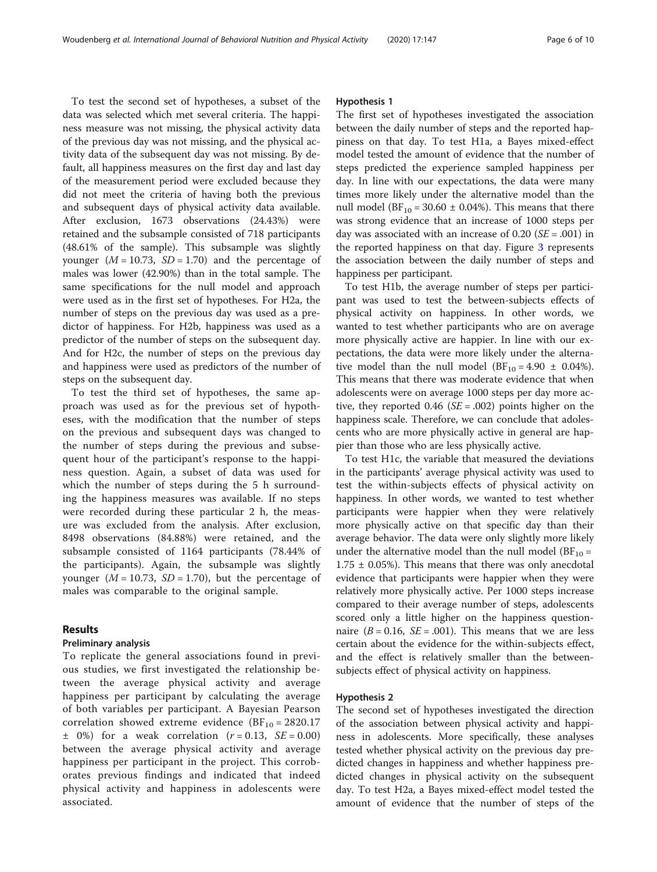To test the second set of hypotheses, a subset of the data was selected which met several criteria. The happiness measure was not missing, the physical activity data of the previous day was not missing, and the physical activity data of the subsequent day was not missing. By default, all happiness measures on the first day and last day of the measurement period were excluded because they did not meet the criteria of having both the previous and subsequent days of physical activity data available. After exclusion, 1673 observations (24.43%) were retained and the subsample consisted of 718 participants (48.61% of the sample). This subsample was slightly younger  $(M = 10.73, SD = 1.70)$  and the percentage of males was lower (42.90%) than in the total sample. The same specifications for the null model and approach were used as in the first set of hypotheses. For H2a, the number of steps on the previous day was used as a predictor of happiness. For H2b, happiness was used as a predictor of the number of steps on the subsequent day. And for H2c, the number of steps on the previous day and happiness were used as predictors of the number of steps on the subsequent day.

To test the third set of hypotheses, the same approach was used as for the previous set of hypotheses, with the modification that the number of steps on the previous and subsequent days was changed to the number of steps during the previous and subsequent hour of the participant's response to the happiness question. Again, a subset of data was used for which the number of steps during the 5 h surrounding the happiness measures was available. If no steps were recorded during these particular 2 h, the measure was excluded from the analysis. After exclusion, 8498 observations (84.88%) were retained, and the subsample consisted of 1164 participants (78.44% of the participants). Again, the subsample was slightly younger ( $M = 10.73$ ,  $SD = 1.70$ ), but the percentage of males was comparable to the original sample.

#### Results

#### Preliminary analysis

To replicate the general associations found in previous studies, we first investigated the relationship between the average physical activity and average happiness per participant by calculating the average of both variables per participant. A Bayesian Pearson correlation showed extreme evidence  $(BF_{10} = 2820.17)$  $\pm$  0%) for a weak correlation ( $r = 0.13$ ,  $SE = 0.00$ ) between the average physical activity and average happiness per participant in the project. This corroborates previous findings and indicated that indeed physical activity and happiness in adolescents were associated.

#### Hypothesis 1

The first set of hypotheses investigated the association between the daily number of steps and the reported happiness on that day. To test H1a, a Bayes mixed-effect model tested the amount of evidence that the number of steps predicted the experience sampled happiness per day. In line with our expectations, the data were many times more likely under the alternative model than the null model ( $BF_{10} = 30.60 \pm 0.04\%$ ). This means that there was strong evidence that an increase of 1000 steps per day was associated with an increase of  $0.20$  (*SE* = .001) in the reported happiness on that day. Figure [3](#page-6-0) represents the association between the daily number of steps and happiness per participant.

To test H1b, the average number of steps per participant was used to test the between-subjects effects of physical activity on happiness. In other words, we wanted to test whether participants who are on average more physically active are happier. In line with our expectations, the data were more likely under the alternative model than the null model  $(BF_{10} = 4.90 \pm 0.04\%).$ This means that there was moderate evidence that when adolescents were on average 1000 steps per day more active, they reported 0.46 ( $SE = .002$ ) points higher on the happiness scale. Therefore, we can conclude that adolescents who are more physically active in general are happier than those who are less physically active.

To test H1c, the variable that measured the deviations in the participants' average physical activity was used to test the within-subjects effects of physical activity on happiness. In other words, we wanted to test whether participants were happier when they were relatively more physically active on that specific day than their average behavior. The data were only slightly more likely under the alternative model than the null model ( $BF_{10} =$  $1.75 \pm 0.05$ %). This means that there was only anecdotal evidence that participants were happier when they were relatively more physically active. Per 1000 steps increase compared to their average number of steps, adolescents scored only a little higher on the happiness questionnaire ( $B = 0.16$ ,  $SE = .001$ ). This means that we are less certain about the evidence for the within-subjects effect, and the effect is relatively smaller than the betweensubjects effect of physical activity on happiness.

#### Hypothesis 2

The second set of hypotheses investigated the direction of the association between physical activity and happiness in adolescents. More specifically, these analyses tested whether physical activity on the previous day predicted changes in happiness and whether happiness predicted changes in physical activity on the subsequent day. To test H2a, a Bayes mixed-effect model tested the amount of evidence that the number of steps of the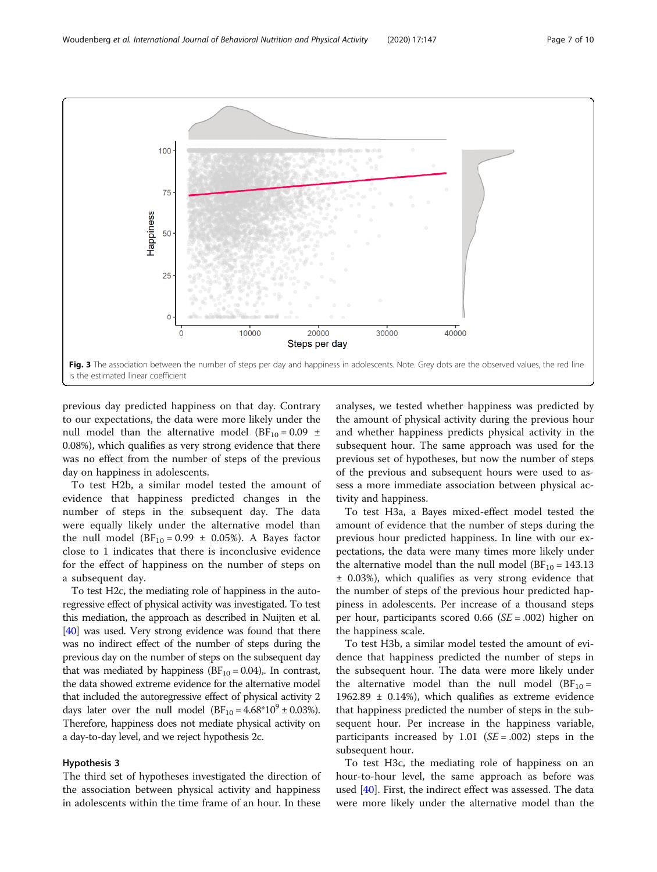<span id="page-6-0"></span>

previous day predicted happiness on that day. Contrary to our expectations, the data were more likely under the null model than the alternative model ( $BF_{10} = 0.09 \pm$ 0.08%), which qualifies as very strong evidence that there was no effect from the number of steps of the previous day on happiness in adolescents.

To test H2b, a similar model tested the amount of evidence that happiness predicted changes in the number of steps in the subsequent day. The data were equally likely under the alternative model than the null model  $(BF_{10} = 0.99 \pm 0.05\%)$ . A Bayes factor close to 1 indicates that there is inconclusive evidence for the effect of happiness on the number of steps on a subsequent day.

To test H2c, the mediating role of happiness in the autoregressive effect of physical activity was investigated. To test this mediation, the approach as described in Nuijten et al. [[40](#page-9-0)] was used. Very strong evidence was found that there was no indirect effect of the number of steps during the previous day on the number of steps on the subsequent day that was mediated by happiness  $(BF_{10} = 0.04)$ ,. In contrast, the data showed extreme evidence for the alternative model that included the autoregressive effect of physical activity 2 days later over the null model  $(BF_{10} = 4.68*10^9 \pm 0.03%).$ Therefore, happiness does not mediate physical activity on a day-to-day level, and we reject hypothesis 2c.

#### Hypothesis 3

The third set of hypotheses investigated the direction of the association between physical activity and happiness in adolescents within the time frame of an hour. In these analyses, we tested whether happiness was predicted by the amount of physical activity during the previous hour and whether happiness predicts physical activity in the subsequent hour. The same approach was used for the previous set of hypotheses, but now the number of steps of the previous and subsequent hours were used to assess a more immediate association between physical activity and happiness.

To test H3a, a Bayes mixed-effect model tested the amount of evidence that the number of steps during the previous hour predicted happiness. In line with our expectations, the data were many times more likely under the alternative model than the null model ( $BF_{10} = 143.13$ ) ± 0.03%), which qualifies as very strong evidence that the number of steps of the previous hour predicted happiness in adolescents. Per increase of a thousand steps per hour, participants scored 0.66 ( $SE = .002$ ) higher on the happiness scale.

To test H3b, a similar model tested the amount of evidence that happiness predicted the number of steps in the subsequent hour. The data were more likely under the alternative model than the null model ( $BF_{10} =$ 1962.89  $\pm$  0.14%), which qualifies as extreme evidence that happiness predicted the number of steps in the subsequent hour. Per increase in the happiness variable, participants increased by 1.01 ( $SE = .002$ ) steps in the subsequent hour.

To test H3c, the mediating role of happiness on an hour-to-hour level, the same approach as before was used  $[40]$  $[40]$ . First, the indirect effect was assessed. The data were more likely under the alternative model than the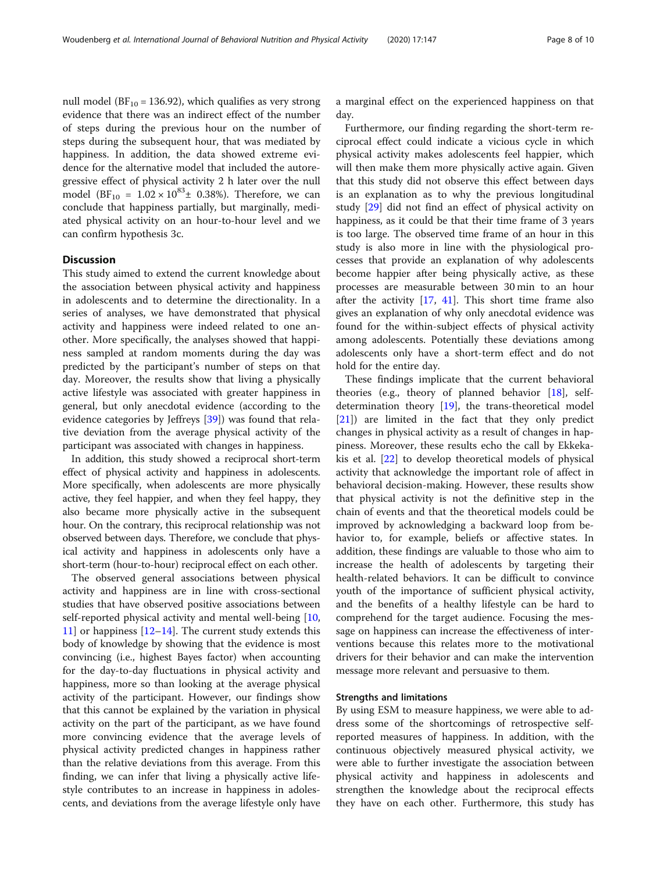null model ( $BF_{10} = 136.92$ ), which qualifies as very strong evidence that there was an indirect effect of the number of steps during the previous hour on the number of steps during the subsequent hour, that was mediated by happiness. In addition, the data showed extreme evidence for the alternative model that included the autoregressive effect of physical activity 2 h later over the null model (BF<sub>10</sub> =  $1.02 \times 10^{83}$  ± 0.38%). Therefore, we can conclude that happiness partially, but marginally, mediated physical activity on an hour-to-hour level and we can confirm hypothesis 3c.

#### **Discussion**

This study aimed to extend the current knowledge about the association between physical activity and happiness in adolescents and to determine the directionality. In a series of analyses, we have demonstrated that physical activity and happiness were indeed related to one another. More specifically, the analyses showed that happiness sampled at random moments during the day was predicted by the participant's number of steps on that day. Moreover, the results show that living a physically active lifestyle was associated with greater happiness in general, but only anecdotal evidence (according to the evidence categories by Jeffreys [[39\]](#page-9-0)) was found that relative deviation from the average physical activity of the participant was associated with changes in happiness.

In addition, this study showed a reciprocal short-term effect of physical activity and happiness in adolescents. More specifically, when adolescents are more physically active, they feel happier, and when they feel happy, they also became more physically active in the subsequent hour. On the contrary, this reciprocal relationship was not observed between days. Therefore, we conclude that physical activity and happiness in adolescents only have a short-term (hour-to-hour) reciprocal effect on each other.

The observed general associations between physical activity and happiness are in line with cross-sectional studies that have observed positive associations between self-reported physical activity and mental well-being [[10](#page-9-0), [11\]](#page-9-0) or happiness  $[12-14]$  $[12-14]$  $[12-14]$  $[12-14]$  $[12-14]$ . The current study extends this body of knowledge by showing that the evidence is most convincing (i.e., highest Bayes factor) when accounting for the day-to-day fluctuations in physical activity and happiness, more so than looking at the average physical activity of the participant. However, our findings show that this cannot be explained by the variation in physical activity on the part of the participant, as we have found more convincing evidence that the average levels of physical activity predicted changes in happiness rather than the relative deviations from this average. From this finding, we can infer that living a physically active lifestyle contributes to an increase in happiness in adolescents, and deviations from the average lifestyle only have a marginal effect on the experienced happiness on that day.

Furthermore, our finding regarding the short-term reciprocal effect could indicate a vicious cycle in which physical activity makes adolescents feel happier, which will then make them more physically active again. Given that this study did not observe this effect between days is an explanation as to why the previous longitudinal study [[29\]](#page-9-0) did not find an effect of physical activity on happiness, as it could be that their time frame of 3 years is too large. The observed time frame of an hour in this study is also more in line with the physiological processes that provide an explanation of why adolescents become happier after being physically active, as these processes are measurable between 30 min to an hour after the activity [[17,](#page-9-0) [41\]](#page-9-0). This short time frame also gives an explanation of why only anecdotal evidence was found for the within-subject effects of physical activity among adolescents. Potentially these deviations among adolescents only have a short-term effect and do not hold for the entire day.

These findings implicate that the current behavioral theories (e.g., theory of planned behavior  $[18]$  $[18]$ , selfdetermination theory [\[19\]](#page-9-0), the trans-theoretical model [[21\]](#page-9-0)) are limited in the fact that they only predict changes in physical activity as a result of changes in happiness. Moreover, these results echo the call by Ekkekakis et al. [\[22](#page-9-0)] to develop theoretical models of physical activity that acknowledge the important role of affect in behavioral decision-making. However, these results show that physical activity is not the definitive step in the chain of events and that the theoretical models could be improved by acknowledging a backward loop from behavior to, for example, beliefs or affective states. In addition, these findings are valuable to those who aim to increase the health of adolescents by targeting their health-related behaviors. It can be difficult to convince youth of the importance of sufficient physical activity, and the benefits of a healthy lifestyle can be hard to comprehend for the target audience. Focusing the message on happiness can increase the effectiveness of interventions because this relates more to the motivational drivers for their behavior and can make the intervention message more relevant and persuasive to them.

#### Strengths and limitations

By using ESM to measure happiness, we were able to address some of the shortcomings of retrospective selfreported measures of happiness. In addition, with the continuous objectively measured physical activity, we were able to further investigate the association between physical activity and happiness in adolescents and strengthen the knowledge about the reciprocal effects they have on each other. Furthermore, this study has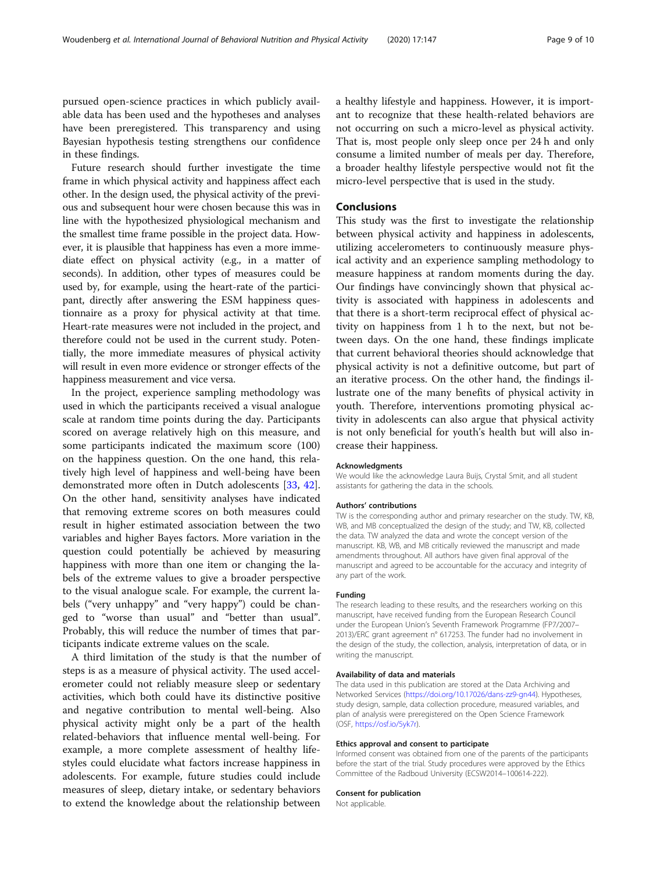pursued open-science practices in which publicly available data has been used and the hypotheses and analyses have been preregistered. This transparency and using Bayesian hypothesis testing strengthens our confidence in these findings.

Future research should further investigate the time frame in which physical activity and happiness affect each other. In the design used, the physical activity of the previous and subsequent hour were chosen because this was in line with the hypothesized physiological mechanism and the smallest time frame possible in the project data. However, it is plausible that happiness has even a more immediate effect on physical activity (e.g., in a matter of seconds). In addition, other types of measures could be used by, for example, using the heart-rate of the participant, directly after answering the ESM happiness questionnaire as a proxy for physical activity at that time. Heart-rate measures were not included in the project, and therefore could not be used in the current study. Potentially, the more immediate measures of physical activity will result in even more evidence or stronger effects of the happiness measurement and vice versa.

In the project, experience sampling methodology was used in which the participants received a visual analogue scale at random time points during the day. Participants scored on average relatively high on this measure, and some participants indicated the maximum score (100) on the happiness question. On the one hand, this relatively high level of happiness and well-being have been demonstrated more often in Dutch adolescents [[33,](#page-9-0) [42](#page-9-0)]. On the other hand, sensitivity analyses have indicated that removing extreme scores on both measures could result in higher estimated association between the two variables and higher Bayes factors. More variation in the question could potentially be achieved by measuring happiness with more than one item or changing the labels of the extreme values to give a broader perspective to the visual analogue scale. For example, the current labels ("very unhappy" and "very happy") could be changed to "worse than usual" and "better than usual". Probably, this will reduce the number of times that participants indicate extreme values on the scale.

A third limitation of the study is that the number of steps is as a measure of physical activity. The used accelerometer could not reliably measure sleep or sedentary activities, which both could have its distinctive positive and negative contribution to mental well-being. Also physical activity might only be a part of the health related-behaviors that influence mental well-being. For example, a more complete assessment of healthy lifestyles could elucidate what factors increase happiness in adolescents. For example, future studies could include measures of sleep, dietary intake, or sedentary behaviors to extend the knowledge about the relationship between

a healthy lifestyle and happiness. However, it is important to recognize that these health-related behaviors are not occurring on such a micro-level as physical activity. That is, most people only sleep once per 24 h and only consume a limited number of meals per day. Therefore, a broader healthy lifestyle perspective would not fit the micro-level perspective that is used in the study.

#### Conclusions

This study was the first to investigate the relationship between physical activity and happiness in adolescents, utilizing accelerometers to continuously measure physical activity and an experience sampling methodology to measure happiness at random moments during the day. Our findings have convincingly shown that physical activity is associated with happiness in adolescents and that there is a short-term reciprocal effect of physical activity on happiness from 1 h to the next, but not between days. On the one hand, these findings implicate that current behavioral theories should acknowledge that physical activity is not a definitive outcome, but part of an iterative process. On the other hand, the findings illustrate one of the many benefits of physical activity in youth. Therefore, interventions promoting physical activity in adolescents can also argue that physical activity is not only beneficial for youth's health but will also increase their happiness.

#### Acknowledgments

We would like the acknowledge Laura Buijs, Crystal Smit, and all student assistants for gathering the data in the schools.

#### Authors' contributions

TW is the corresponding author and primary researcher on the study. TW, KB, WB, and MB conceptualized the design of the study; and TW, KB, collected the data. TW analyzed the data and wrote the concept version of the manuscript. KB, WB, and MB critically reviewed the manuscript and made amendments throughout. All authors have given final approval of the manuscript and agreed to be accountable for the accuracy and integrity of any part of the work.

#### Funding

The research leading to these results, and the researchers working on this manuscript, have received funding from the European Research Council under the European Union's Seventh Framework Programme (FP7/2007– 2013)/ERC grant agreement n° 617253. The funder had no involvement in the design of the study, the collection, analysis, interpretation of data, or in writing the manuscript.

#### Availability of data and materials

The data used in this publication are stored at the Data Archiving and Networked Services ([https://doi.org/10.17026/dans-zz9-gn44\)](https://doi.org/10.17026/dans-zz9-gn44). Hypotheses, study design, sample, data collection procedure, measured variables, and plan of analysis were preregistered on the Open Science Framework (OSF, [https://osf.io/5yk7r\)](https://osf.io/5yk7r).

#### Ethics approval and consent to participate

Informed consent was obtained from one of the parents of the participants before the start of the trial. Study procedures were approved by the Ethics Committee of the Radboud University (ECSW2014–100614-222).

#### Consent for publication

Not applicable.